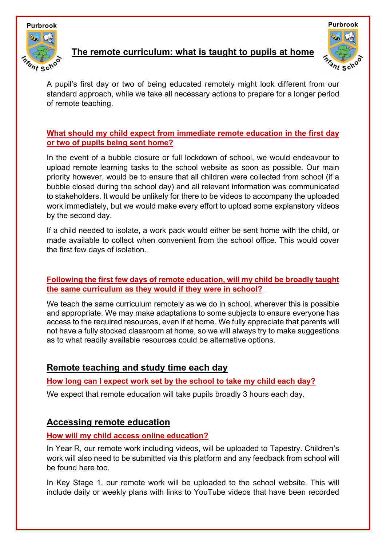

## **The remote curriculum: what is taught to pupils at home**



A pupil's first day or two of being educated remotely might look different from our standard approach, while we take all necessary actions to prepare for a longer period of remote teaching.

### **What should my child expect from immediate remote education in the first day or two of pupils being sent home?**

In the event of a bubble closure or full lockdown of school, we would endeavour to upload remote learning tasks to the school website as soon as possible. Our main priority however, would be to ensure that all children were collected from school (if a bubble closed during the school day) and all relevant information was communicated to stakeholders. It would be unlikely for there to be videos to accompany the uploaded work immediately, but we would make every effort to upload some explanatory videos by the second day.

If a child needed to isolate, a work pack would either be sent home with the child, or made available to collect when convenient from the school office. This would cover the first few days of isolation.

### **Following the first few days of remote education, will my child be broadly taught the same curriculum as they would if they were in school?**

We teach the same curriculum remotely as we do in school, wherever this is possible and appropriate. We may make adaptations to some subjects to ensure everyone has access to the required resources, even if at home. We fully appreciate that parents will not have a fully stocked classroom at home, so we will always try to make suggestions as to what readily available resources could be alternative options.

# **Remote teaching and study time each day**

**How long can I expect work set by the school to take my child each day?**

We expect that remote education will take pupils broadly 3 hours each day.

# **Accessing remote education**

## **How will my child access online education?**

In Year R, our remote work including videos, will be uploaded to Tapestry. Children's work will also need to be submitted via this platform and any feedback from school will be found here too.

In Key Stage 1, our remote work will be uploaded to the school website. This will include daily or weekly plans with links to YouTube videos that have been recorded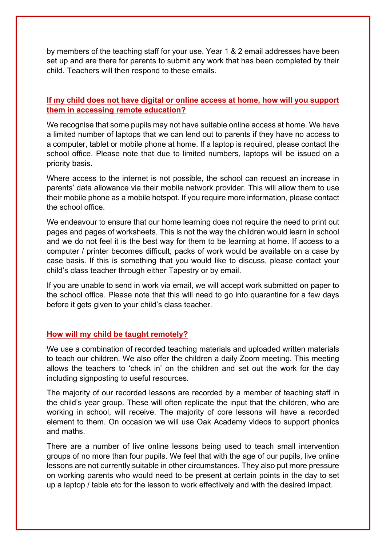by members of the teaching staff for your use. Year 1 & 2 email addresses have been set up and are there for parents to submit any work that has been completed by their child. Teachers will then respond to these emails.

### **If my child does not have digital or online access at home, how will you support them in accessing remote education?**

We recognise that some pupils may not have suitable online access at home. We have a limited number of laptops that we can lend out to parents if they have no access to a computer, tablet or mobile phone at home. If a laptop is required, please contact the school office. Please note that due to limited numbers, laptops will be issued on a priority basis.

Where access to the internet is not possible, the school can request an increase in parents' data allowance via their mobile network provider. This will allow them to use their mobile phone as a mobile hotspot. If you require more information, please contact the school office.

We endeavour to ensure that our home learning does not require the need to print out pages and pages of worksheets. This is not the way the children would learn in school and we do not feel it is the best way for them to be learning at home. If access to a computer / printer becomes difficult, packs of work would be available on a case by case basis. If this is something that you would like to discuss, please contact your child's class teacher through either Tapestry or by email.

If you are unable to send in work via email, we will accept work submitted on paper to the school office. Please note that this will need to go into quarantine for a few days before it gets given to your child's class teacher.

#### **How will my child be taught remotely?**

We use a combination of recorded teaching materials and uploaded written materials to teach our children. We also offer the children a daily Zoom meeting. This meeting allows the teachers to 'check in' on the children and set out the work for the day including signposting to useful resources.

The majority of our recorded lessons are recorded by a member of teaching staff in the child's year group. These will often replicate the input that the children, who are working in school, will receive. The majority of core lessons will have a recorded element to them. On occasion we will use Oak Academy videos to support phonics and maths.

There are a number of live online lessons being used to teach small intervention groups of no more than four pupils. We feel that with the age of our pupils, live online lessons are not currently suitable in other circumstances. They also put more pressure on working parents who would need to be present at certain points in the day to set up a laptop / table etc for the lesson to work effectively and with the desired impact.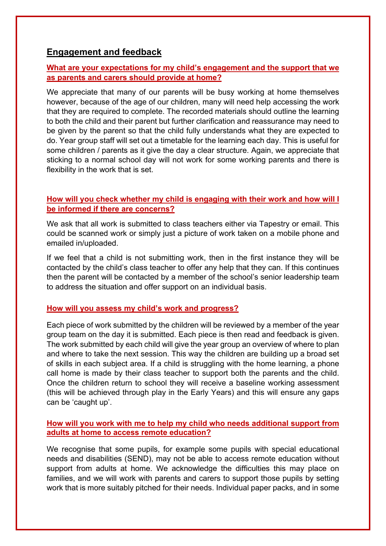### **Engagement and feedback**

#### **What are your expectations for my child's engagement and the support that we as parents and carers should provide at home?**

We appreciate that many of our parents will be busy working at home themselves however, because of the age of our children, many will need help accessing the work that they are required to complete. The recorded materials should outline the learning to both the child and their parent but further clarification and reassurance may need to be given by the parent so that the child fully understands what they are expected to do. Year group staff will set out a timetable for the learning each day. This is useful for some children / parents as it give the day a clear structure. Again, we appreciate that sticking to a normal school day will not work for some working parents and there is flexibility in the work that is set.

### **How will you check whether my child is engaging with their work and how will I be informed if there are concerns?**

We ask that all work is submitted to class teachers either via Tapestry or email. This could be scanned work or simply just a picture of work taken on a mobile phone and emailed in/uploaded.

If we feel that a child is not submitting work, then in the first instance they will be contacted by the child's class teacher to offer any help that they can. If this continues then the parent will be contacted by a member of the school's senior leadership team to address the situation and offer support on an individual basis.

#### **How will you assess my child's work and progress?**

Each piece of work submitted by the children will be reviewed by a member of the year group team on the day it is submitted. Each piece is then read and feedback is given. The work submitted by each child will give the year group an overview of where to plan and where to take the next session. This way the children are building up a broad set of skills in each subject area. If a child is struggling with the home learning, a phone call home is made by their class teacher to support both the parents and the child. Once the children return to school they will receive a baseline working assessment (this will be achieved through play in the Early Years) and this will ensure any gaps can be 'caught up'.

#### **How will you work with me to help my child who needs additional support from adults at home to access remote education?**

We recognise that some pupils, for example some pupils with special educational needs and disabilities (SEND), may not be able to access remote education without support from adults at home. We acknowledge the difficulties this may place on families, and we will work with parents and carers to support those pupils by setting work that is more suitably pitched for their needs. Individual paper packs, and in some